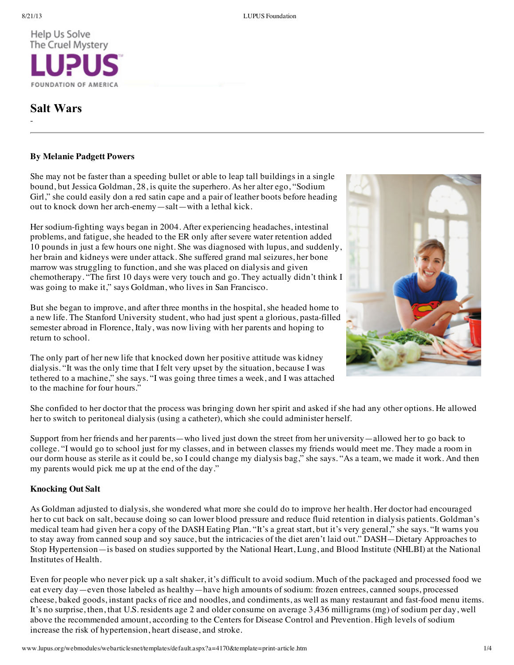-



# **Salt Wars**

# **By Melanie Padgett Powers**

She may not be faster than a speeding bullet or able to leap tall buildings in a single bound, but Jessica Goldman, 28, is quite the superhero. As her alter ego, "Sodium Girl," she could easily don a red satin cape and a pair of leather boots before heading out to knock down her arch-enemy—salt—with a lethal kick.

Her sodium-fighting ways began in 2004. After experiencing headaches, intestinal problems, and fatigue, she headed to the ER only after severe water retention added 10 pounds in just a few hours one night. She was diagnosed with lupus, and suddenly, her brain and kidneys were under attack. She suffered grand mal seizures, her bone marrow was struggling to function, and she was placed on dialysis and given chemotherapy. "The first 10 days were very touch and go. They actually didn't think I was going to make it," says Goldman, who lives in San Francisco.

But she began to improve, and after three months in the hospital, she headed home to a new life. The Stanford University student, who had just spent a glorious, pasta-filled semester abroad in Florence, Italy, was now living with her parents and hoping to return to school.

The only part of her new life that knocked down her positive attitude was kidney dialysis. "It was the only time that I felt very upset by the situation, because I was tethered to a machine," she says. "I was going three times a week, and I was attached to the machine for four hours."



She confided to her doctor that the process was bringing down her spirit and asked if she had any other options. He allowed her to switch to peritoneal dialysis (using a catheter), which she could administer herself.

Support from her friends and her parents—who lived just down the street from her university—allowed her to go back to college. "I would go to school just for my classes, and in between classes my friends would meet me. They made a room in our dorm house as sterile as it could be, so I could change my dialysis bag," she says. "As a team, we made it work. And then my parents would pick me up at the end of the day."

# **Knocking Out Salt**

As Goldman adjusted to dialysis, she wondered what more she could do to improve her health. Her doctor had encouraged her to cut back on salt, because doing so can lower blood pressure and reduce fluid retention in dialysis patients. Goldman's medical team had given her a copy of the DASH Eating Plan. "It's a great start, but it's very general," she says. "It warns you to stay away from canned soup and soy sauce, but the intricacies of the diet aren't laid out." DASH—Dietary Approaches to Stop Hypertension—is based on studies supported by the National Heart, Lung, and Blood Institute (NHLBI) at the National Institutes of Health.

Even for people who never pick up a salt shaker, it's difficult to avoid sodium. Much of the packaged and processed food we eat every day—even those labeled as healthy—have high amounts of sodium: frozen entrees, canned soups, processed cheese, baked goods, instant packs of rice and noodles, and condiments, as well as many restaurant and fast-food menu items. It's no surprise, then, that U.S. residents age 2 and older consume on average 3,436 milligrams (mg) of sodium per day, well above the recommended amount, according to the Centers for Disease Control and Prevention. High levels of sodium increase the risk of hypertension, heart disease, and stroke.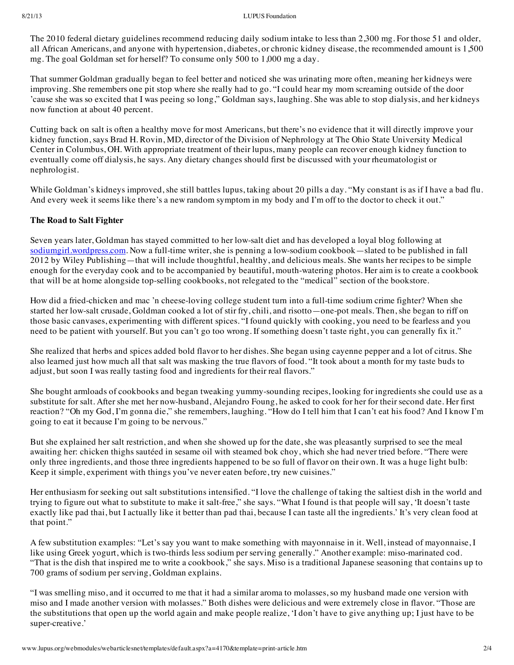### 8/21/13 LUPUS Foundation

The 2010 federal dietary guidelines recommend reducing daily sodium intake to less than 2,300 mg. For those 51 and older, all African Americans, and anyone with hypertension, diabetes, or chronic kidney disease, the recommended amount is 1,500 mg. The goal Goldman set for herself? To consume only 500 to 1,000 mg a day.

That summer Goldman gradually began to feel better and noticed she was urinating more often, meaning her kidneys were improving. She remembers one pit stop where she really had to go. "I could hear my mom screaming outside of the door 'cause she was so excited that I was peeing so long," Goldman says, laughing. She was able to stop dialysis, and her kidneys now function at about 40 percent.

Cutting back on salt is often a healthy move for most Americans, but there's no evidence that it will directly improve your kidney function, says Brad H. Rovin, MD, director of the Division of Nephrology at The Ohio State University Medical Center in Columbus, OH. With appropriate treatment of their lupus, many people can recover enough kidney function to eventually come off dialysis, he says. Any dietary changes should first be discussed with your rheumatologist or nephrologist.

While Goldman's kidneys improved, she still battles lupus, taking about 20 pills a day. "My constant is as if I have a bad flu. And every week it seems like there's a new random symptom in my body and I'm off to the doctor to check it out."

# **The Road to Salt Fighter**

Seven years later, Goldman has stayed committed to her low-salt diet and has developed a loyal blog following at [sodiumgirl.wordpress.com.](http://sodiumgirl.wordpress.com/) Now a full-time writer, she is penning a low-sodium cookbook—slated to be published in fall 2012 by Wiley Publishing—that will include thoughtful, healthy, and delicious meals. She wants her recipes to be simple enough for the everyday cook and to be accompanied by beautiful, mouth-watering photos. Her aim is to create a cookbook that will be at home alongside top-selling cookbooks, not relegated to the "medical" section of the bookstore.

How did a fried-chicken and mac 'n cheese-loving college student turn into a full-time sodium crime fighter? When she started her low-salt crusade, Goldman cooked a lot of stir fry, chili, and risotto—one-pot meals. Then, she began to riff on those basic canvases, experimenting with different spices. "I found quickly with cooking, you need to be fearless and you need to be patient with yourself. But you can't go too wrong. If something doesn't taste right, you can generally fix it."

She realized that herbs and spices added bold flavor to her dishes. She began using cayenne pepper and a lot of citrus. She also learned just how much all that salt was masking the true flavors of food. "It took about a month for my taste buds to adjust, but soon I was really tasting food and ingredients for their real flavors."

She bought armloads of cookbooks and began tweaking yummy-sounding recipes, looking for ingredients she could use as a substitute for salt. After she met her now-husband, Alejandro Foung, he asked to cook for her for their second date. Her first reaction? "Oh my God, I'm gonna die," she remembers, laughing. "How do I tell him that I can't eat his food? And I know I'm going to eat it because I'm going to be nervous."

But she explained her salt restriction, and when she showed up for the date, she was pleasantly surprised to see the meal awaiting her: chicken thighs sautéed in sesame oil with steamed bok choy, which she had never tried before. "There were only three ingredients, and those three ingredients happened to be so full of flavor on their own. It was a huge light bulb: Keep it simple, experiment with things you've never eaten before, try new cuisines."

Her enthusiasm for seeking out salt substitutions intensified. "I love the challenge of taking the saltiest dish in the world and trying to figure out what to substitute to make it salt-free," she says. "What I found is that people will say, 'It doesn't taste exactly like pad thai, but I actually like it better than pad thai, because I can taste all the ingredients.' It's very clean food at that point."

A few substitution examples: "Let's say you want to make something with mayonnaise in it. Well, instead of mayonnaise, I like using Greek yogurt, which is two-thirds less sodium per serving generally." Another example: miso-marinated cod. "That is the dish that inspired me to write a cookbook," she says. Miso is a traditional Japanese seasoning that contains up to 700 grams of sodium per serving, Goldman explains.

"I was smelling miso, and it occurred to me that it had a similar aroma to molasses, so my husband made one version with miso and I made another version with molasses." Both dishes were delicious and were extremely close in flavor. "Those are the substitutions that open up the world again and make people realize, 'I don't have to give anything up; I just have to be super-creative.'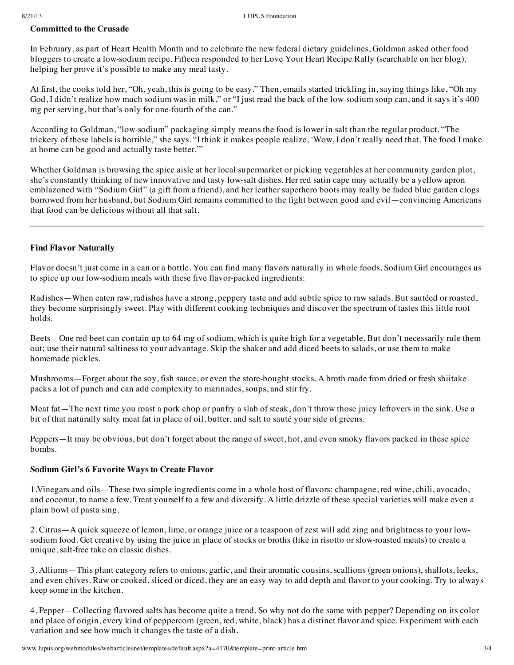# **Committed to the Crusade**

In February, as part of Heart Health Month and to celebrate the new federal dietary guidelines, Goldman asked other food bloggers to create a low-sodium recipe. Fifteen responded to her Love Your Heart Recipe Rally (searchable on her blog), helping her prove it's possible to make any meal tasty.

At first, the cooks told her, "Oh, yeah, this is going to be easy." Then, emails started trickling in, saying things like, "Oh my God, I didn't realize how much sodium was in milk," or "I just read the back of the low-sodium soup can, and it says it's 400 mg per serving, but that's only for one-fourth of the can."

According to Goldman, "low-sodium" packaging simply means the food is lower in salt than the regular product. "The trickery of these labels is horrible," she says. "I think it makes people realize, 'Wow, I don't really need that. The food I make at home can be good and actually taste better.'"

Whether Goldman is browsing the spice aisle at her local supermarket or picking vegetables at her community garden plot, she's constantly thinking of new innovative and tasty low-salt dishes. Her red satin cape may actually be a yellow apron emblazoned with "Sodium Girl" (a gift from a friend), and her leather superhero boots may really be faded blue garden clogs borrowed from her husband, but Sodium Girl remains committed to the fight between good and evil—convincing Americans that food can be delicious without all that salt.

# **Find Flavor Naturally**

Flavor doesn't just come in a can or a bottle. You can find many flavors naturally in whole foods. Sodium Girl encourages us to spice up our low-sodium meals with these five flavor-packed ingredients:

Radishes—When eaten raw, radishes have a strong, peppery taste and add subtle spice to raw salads. But sautéed or roasted, they become surprisingly sweet. Play with different cooking techniques and discover the spectrum of tastes this little root holds.

Beets—One red beet can contain up to 64 mg of sodium, which is quite high for a vegetable. But don't necessarily rule them out; use their natural saltiness to your advantage. Skip the shaker and add diced beets to salads, or use them to make homemade pickles.

Mushrooms—Forget about the soy, fish sauce, or even the store-bought stocks. A broth made from dried or fresh shiitake packs a lot of punch and can add complexity to marinades, soups, and stir fry.

Meat fat—The next time you roast a pork chop or panfry a slab of steak, don't throw those juicy leftovers in the sink. Use a bit of that naturally salty meat fat in place of oil, butter, and salt to sauté your side of greens.

Peppers—It may be obvious, but don't forget about the range of sweet, hot, and even smoky flavors packed in these spice bombs.

# **Sodium Girl's 6 Favorite Ways to Create Flavor**

1.Vinegars and oils—These two simple ingredients come in a whole host of flavors: champagne, red wine, chili, avocado, and coconut, to name a few. Treat yourself to a few and diversify. A little drizzle of these special varieties will make even a plain bowl of pasta sing.

2. Citrus—A quick squeeze of lemon, lime, or orange juice or a teaspoon of zest will add zing and brightness to your lowsodium food. Get creative by using the juice in place of stocks or broths (like in risotto or slow-roasted meats) to create a unique, salt-free take on classic dishes.

3. Alliums—This plant category refers to onions, garlic, and their aromatic cousins, scallions (green onions), shallots, leeks, and even chives. Raw or cooked, sliced or diced, they are an easy way to add depth and flavor to your cooking. Try to always keep some in the kitchen.

4. Pepper—Collecting flavored salts has become quite a trend. So why not do the same with pepper? Depending on its color and place of origin, every kind of peppercorn (green, red, white, black) has a distinct flavor and spice. Experiment with each variation and see how much it changes the taste of a dish.